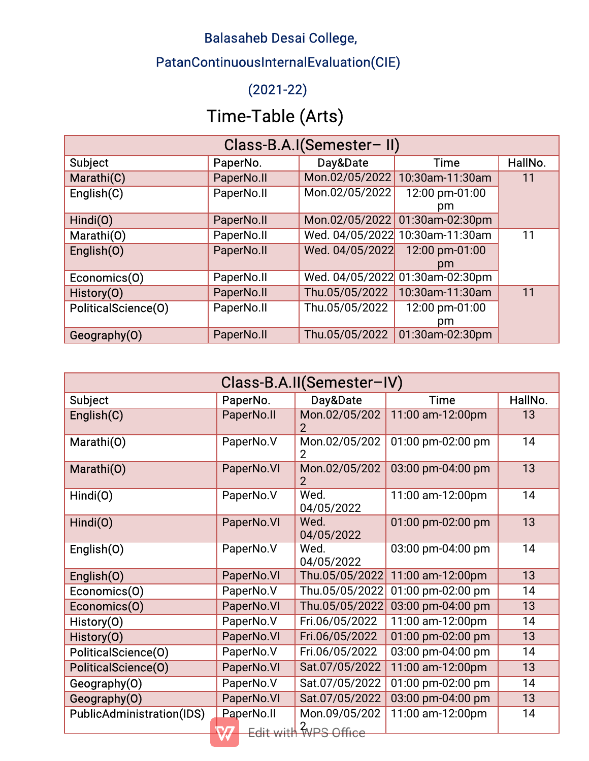## Balasaheb Desai College,

## PatanContinuousInternalEvaluation(CIE)

## (2021-22)

## Time-Table(Arts)

| Class-B.A.I(Semester-II) |            |                 |                                 |         |
|--------------------------|------------|-----------------|---------------------------------|---------|
| <b>Subject</b>           | PaperNo.   | Day&Date        | <b>Time</b>                     | HallNo. |
| Marathi(C)               | PaperNo.II | Mon.02/05/2022  | 10:30am-11:30am                 | 11      |
| English(C)               | PaperNo.II | Mon.02/05/2022  | 12:00 pm-01:00                  |         |
|                          |            |                 | pm                              |         |
| Hindi(O)                 | PaperNo.II |                 | Mon.02/05/2022 01:30am-02:30pm  |         |
| Marathi(O)               | PaperNo.II |                 | Wed. 04/05/2022 10:30am-11:30am | 11      |
| English(O)               | PaperNo.II | Wed. 04/05/2022 | 12:00 pm-01:00                  |         |
|                          |            |                 | pm                              |         |
| Economics(O)             | PaperNo.II |                 | Wed. 04/05/2022 01:30am-02:30pm |         |
| History(O)               | PaperNo.II | Thu.05/05/2022  | 10:30am-11:30am                 | 11      |
| PoliticalScience(O)      | PaperNo.II | Thu.05/05/2022  | 12:00 pm-01:00                  |         |
|                          |            |                 | pm                              |         |
| Geography(O)             | PaperNo.II | Thu.05/05/2022  | 01:30am-02:30pm                 |         |

| Class-B.A.II(Semester-IV)        |            |                      |                   |         |
|----------------------------------|------------|----------------------|-------------------|---------|
| <b>Subject</b>                   | PaperNo.   | Day&Date             | <b>Time</b>       | HallNo. |
| English(C)                       | PaperNo.II | Mon.02/05/202        | 11:00 am-12:00pm  | 13      |
| Marathi(O)                       | PaperNo.V  | Mon.02/05/202        | 01:00 pm-02:00 pm | 14      |
| Marathi(O)                       | PaperNo.VI | Mon.02/05/202<br>2   | 03:00 pm-04:00 pm | 13      |
| Hindi(O)                         | PaperNo.V  | Wed.<br>04/05/2022   | 11:00 am-12:00pm  | 14      |
| Hindi(O)                         | PaperNo.VI | Wed.<br>04/05/2022   | 01:00 pm-02:00 pm | 13      |
| English(O)                       | PaperNo.V  | Wed.<br>04/05/2022   | 03:00 pm-04:00 pm | 14      |
| English(O)                       | PaperNo.VI | Thu.05/05/2022       | 11:00 am-12:00pm  | 13      |
| Economics(O)                     | PaperNo.V  | Thu.05/05/2022       | 01:00 pm-02:00 pm | 14      |
| Economics(O)                     | PaperNo.VI | Thu.05/05/2022       | 03:00 pm-04:00 pm | 13      |
| History(0)                       | PaperNo.V  | Fri.06/05/2022       | 11:00 am-12:00pm  | 14      |
| History(0)                       | PaperNo.VI | Fri.06/05/2022       | 01:00 pm-02:00 pm | 13      |
| PoliticalScience(0)              | PaperNo.V  | Fri.06/05/2022       | 03:00 pm-04:00 pm | 14      |
| PoliticalScience(O)              | PaperNo.VI | Sat.07/05/2022       | 11:00 am-12:00pm  | 13      |
| Geography(O)                     | PaperNo.V  | Sat.07/05/2022       | 01:00 pm-02:00 pm | 14      |
| Geography(O)                     | PaperNo.VI | Sat.07/05/2022       | 03:00 pm-04:00 pm | 13      |
| <b>PublicAdministration(IDS)</b> | PaperNo.II | Mon.09/05/202        | 11:00 am-12:00pm  | 14      |
|                                  |            | Edit with WPS Office |                   |         |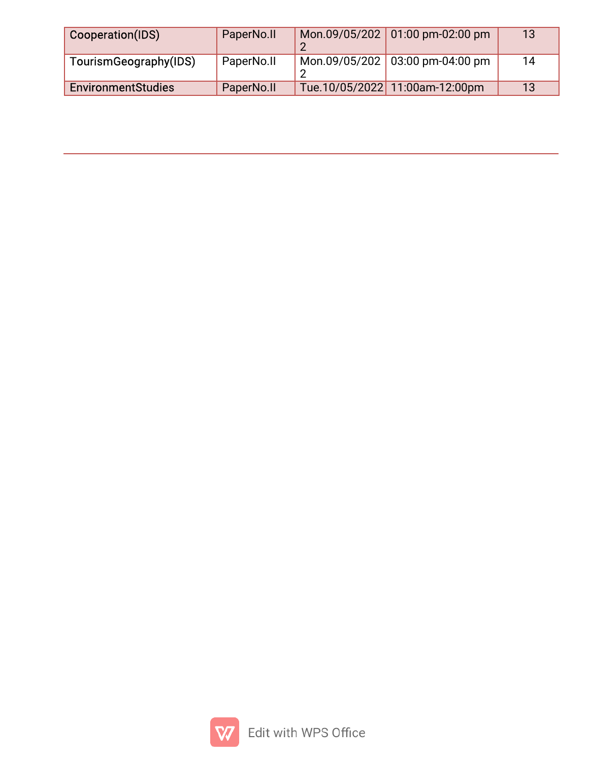| Cooperation(IDS)          | PaperNo.II | Mon.09/05/202 01:00 pm-02:00 pm | 13 |
|---------------------------|------------|---------------------------------|----|
| TourismGeography(IDS)     | PaperNo.II | Mon.09/05/202 03:00 pm-04:00 pm | 14 |
| <b>EnvironmentStudies</b> | PaperNo.II | Tue.10/05/2022 11:00am-12:00pm  | 13 |